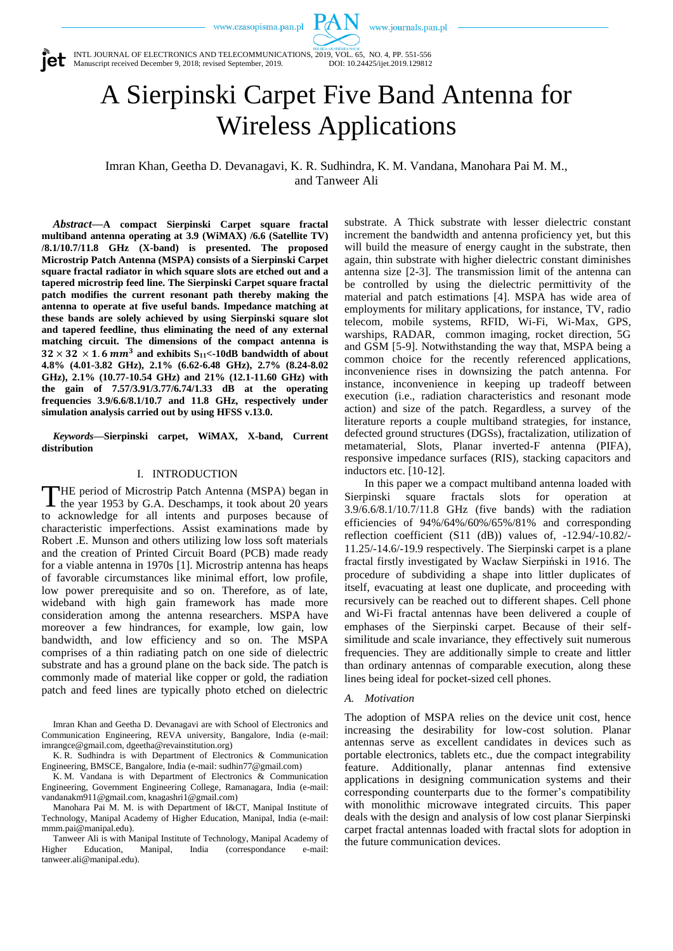$PAN$  www.journals.pan.pl



INTL JOURNAL OF ELECTRONICS AND TELECOMMUNICATIONS, 2019, VOL. 65, NO. 4, PP. 551-556 Manuscript received December 9, 2018; revised September, 2019. DOI: 10.24425/ijet.2019.129812

# A Sierpinski Carpet Five Band Antenna for Wireless Applications

Imran Khan, Geetha D. Devanagavi, K. R. Sudhindra, K. M. Vandana, Manohara Pai M. M., and Tanweer Ali

*Abstract***—A compact Sierpinski Carpet square fractal multiband antenna operating at 3.9 (WiMAX) /6.6 (Satellite TV) /8.1/10.7/11.8 GHz (X-band) is presented. The proposed Microstrip Patch Antenna (MSPA) consists of a Sierpinski Carpet square fractal radiator in which square slots are etched out and a tapered microstrip feed line. The Sierpinski Carpet square fractal patch modifies the current resonant path thereby making the antenna to operate at five useful bands. Impedance matching at these bands are solely achieved by using Sierpinski square slot and tapered feedline, thus eliminating the need of any external matching circuit. The dimensions of the compact antenna is**   $32 \times 32 \times 1.6$  mm<sup>3</sup> and exhibits S<sub>11</sub><-10dB bandwidth of about **4.8% (4.01-3.82 GHz), 2.1% (6.62-6.48 GHz), 2.7% (8.24-8.02 GHz), 2.1% (10.77-10.54 GHz) and 21% (12.1-11.60 GHz) with the gain of 7.57/3.91/3.77/6.74/1.33 dB at the operating frequencies 3.9/6.6/8.1/10.7 and 11.8 GHz, respectively under simulation analysis carried out by using HFSS v.13.0.**

*Keywords***—Sierpinski carpet, WiMAX, X-band, Current distribution**

#### I. INTRODUCTION

HE period of Microstrip Patch Antenna (MSPA) began in the year 1953 by G.A. Deschamps, it took about 20 years to acknowledge for all intents and purposes because of characteristic imperfections. Assist examinations made by Robert .E. Munson and others utilizing low loss soft materials and the creation of Printed Circuit Board (PCB) made ready for a viable antenna in 1970s [1]. Microstrip antenna has heaps of favorable circumstances like minimal effort, low profile, low power prerequisite and so on. Therefore, as of late, wideband with high gain framework has made more consideration among the antenna researchers. MSPA have moreover a few hindrances, for example, low gain, low bandwidth, and low efficiency and so on. The MSPA comprises of a thin radiating patch on one side of dielectric substrate and has a ground plane on the back side. The patch is commonly made of material like copper or gold, the radiation patch and feed lines are typically photo etched on dielectric T

Imran Khan and Geetha D. Devanagavi are with School of Electronics and Communication Engineering, REVA university, Bangalore, India (e-mail: [imrangce@gmail.com,](mailto:imrangce@gmail.com) [dgeetha@revainstitution.org\)](mailto:dgeetha@revainstitution.org)

K. R. Sudhindra is with Department of Electronics & Communication Engineering, BMSCE, Bangalore, India (e-mail: [sudhin77@gmail.com\)](mailto:sudhin77@gmail.com)

K. M. Vandana is with Department of Electronics & Communication Engineering, Government Engineering College, Ramanagara, India (e-mail: [vandanakm911@gmail.com,](mailto:vandanakm911@gmail.com) [knagashri1@gmail.com\)](mailto:knagashri1@gmail.com)

Manohara Pai M. M. is with Department of I&CT, Manipal Institute of Technology, Manipal Academy of Higher Education, Manipal, India (e-mail: mmm.pai@manipal.edu).

Tanweer Ali is with Manipal Institute of Technology, Manipal Academy of Higher Education, Manipal, India (correspondance e-mail: [tanweer.ali@manipal.edu\)](mailto:tanweer.ali@manipal.edu).

substrate. A Thick substrate with lesser dielectric constant increment the bandwidth and antenna proficiency yet, but this will build the measure of energy caught in the substrate, then again, thin substrate with higher dielectric constant diminishes antenna size [2-3]. The transmission limit of the antenna can be controlled by using the dielectric permittivity of the material and patch estimations [4]. MSPA has wide area of employments for military applications, for instance, TV, radio telecom, mobile systems, RFID, Wi-Fi, Wi-Max, GPS, warships, RADAR, common imaging, rocket direction, 5G and GSM [5-9]. Notwithstanding the way that, MSPA being a common choice for the recently referenced applications, inconvenience rises in downsizing the patch antenna. For instance, inconvenience in keeping up tradeoff between execution (i.e., radiation characteristics and resonant mode action) and size of the patch. Regardless, a survey of the literature reports a couple multiband strategies, for instance, defected ground structures (DGSs), fractalization, utilization of metamaterial, Slots, Planar inverted-F antenna (PIFA), responsive impedance surfaces (RIS), stacking capacitors and inductors etc. [10-12].

In this paper we a compact multiband antenna loaded with Sierpinski square fractals slots for operation 3.9/6.6/8.1/10.7/11.8 GHz (five bands) with the radiation efficiencies of 94%/64%/60%/65%/81% and corresponding reflection coefficient (S11 (dB)) values of, -12.94/-10.82/- 11.25/-14.6/-19.9 respectively. The Sierpinski carpet is a plane fractal firstly investigated by Wacław Sierpiński in 1916. The procedure of subdividing a shape into littler duplicates of itself, evacuating at least one duplicate, and proceeding with recursively can be reached out to different shapes. Cell phone and Wi-Fi fractal antennas have been delivered a couple of emphases of the Sierpinski carpet. Because of their selfsimilitude and scale invariance, they effectively suit numerous frequencies. They are additionally simple to create and littler than ordinary antennas of comparable execution, along these lines being ideal for pocket-sized cell phones.

#### *A. Motivation*

The adoption of MSPA relies on the device unit cost, hence increasing the desirability for low-cost solution. Planar antennas serve as excellent candidates in devices such as portable electronics, tablets etc., due the compact integrability feature. Additionally, planar antennas find extensive applications in designing communication systems and their corresponding counterparts due to the former's compatibility with monolithic microwave integrated circuits. This paper deals with the design and analysis of low cost planar Sierpinski carpet fractal antennas loaded with fractal slots for adoption in the future communication devices.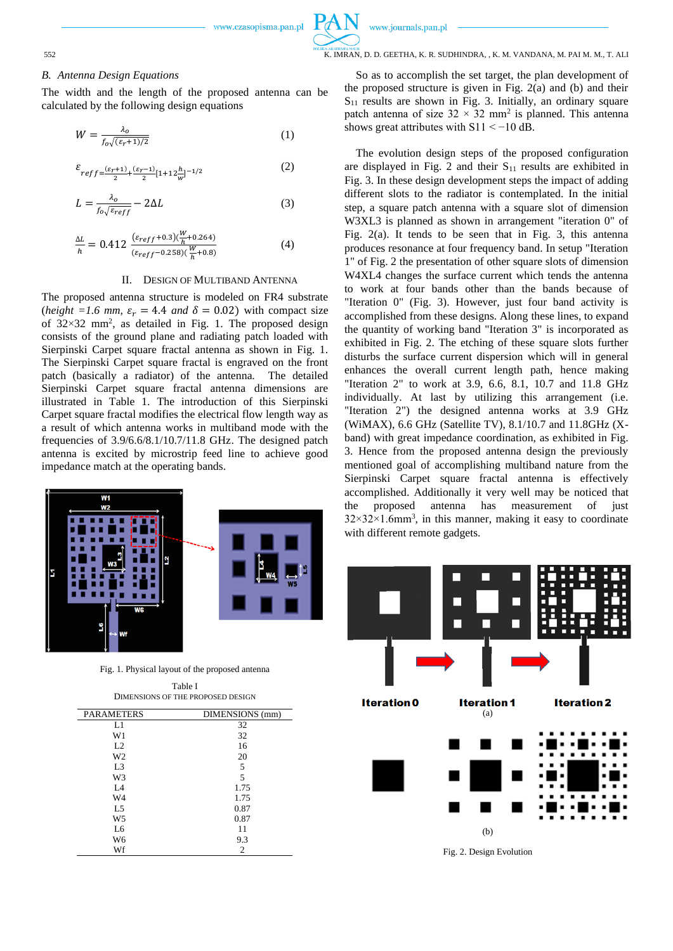

#### 552 K. IMRAN, D. D. GEETHA, K. R. SUDHINDRA, , K. M. VANDANA, M. PAI M. M., T. ALI

#### *B. Antenna Design Equations*

The width and the length of the proposed antenna can be calculated by the following design equations

www.czasopisma.pan.pl

$$
W = \frac{\lambda_o}{f_o\sqrt{(\varepsilon_r + 1)/2}}\tag{1}
$$

$$
\varepsilon_{reff = \frac{(\varepsilon_r + 1)}{2} + \frac{(\varepsilon_r - 1)}{2} [1 + 12\frac{h}{w}]^{-1/2}}
$$
 (2)

$$
L = \frac{\lambda_o}{f_o\sqrt{\varepsilon_{reff}}} - 2\Delta L\tag{3}
$$

$$
\frac{\Delta L}{h} = 0.412 \frac{(\varepsilon_{reff} + 0.3)(\frac{W}{h} + 0.264)}{(\varepsilon_{reff} - 0.258)(\frac{W}{h} + 0.8)}
$$
(4)

#### II. DESIGN OF MULTIBAND ANTENNA

The proposed antenna structure is modeled on FR4 substrate (*height* = 1.6 mm,  $\varepsilon_r$  = 4.4 and  $\delta$  = 0.02) with compact size of  $32 \times 32$  mm<sup>2</sup>, as detailed in Fig. 1. The proposed design consists of the ground plane and radiating patch loaded with Sierpinski Carpet square fractal antenna as shown in Fig. 1. The Sierpinski Carpet square fractal is engraved on the front patch (basically a radiator) of the antenna. The detailed Sierpinski Carpet square fractal antenna dimensions are illustrated in Table 1. The introduction of this Sierpinski Carpet square fractal modifies the electrical flow length way as a result of which antenna works in multiband mode with the frequencies of 3.9/6.6/8.1/10.7/11.8 GHz. The designed patch antenna is excited by microstrip feed line to achieve good impedance match at the operating bands.



Fig. 1. Physical layout of the proposed antenna

Table I DIMENSIONS OF THE PROPOSED DESIGN

| <b>PARAMETERS</b> | DIMENSIONS (mm) |  |  |
|-------------------|-----------------|--|--|
| L1                | 32              |  |  |
| W1                | 32              |  |  |
| L2                | 16              |  |  |
| W <sub>2</sub>    | 20              |  |  |
| L <sub>3</sub>    | 5               |  |  |
| W3                | 5               |  |  |
| L <sub>4</sub>    | 1.75            |  |  |
| W4                | 1.75            |  |  |
| L <sub>5</sub>    | 0.87            |  |  |
| W <sub>5</sub>    | 0.87            |  |  |
| L <sub>6</sub>    | 11              |  |  |
| W <sub>6</sub>    | 9.3             |  |  |
| Wf                | $\overline{2}$  |  |  |

So as to accomplish the set target, the plan development of the proposed structure is given in Fig. 2(a) and (b) and their  $S_{11}$  results are shown in Fig. 3. Initially, an ordinary square patch antenna of size  $32 \times 32$  mm<sup>2</sup> is planned. This antenna shows great attributes with  $S11 < -10$  dB.

The evolution design steps of the proposed configuration are displayed in Fig. 2 and their  $S<sub>11</sub>$  results are exhibited in Fig. 3. In these design development steps the impact of adding different slots to the radiator is contemplated. In the initial step, a square patch antenna with a square slot of dimension W3XL3 is planned as shown in arrangement "iteration 0" of Fig. 2(a). It tends to be seen that in Fig. 3, this antenna produces resonance at four frequency band. In setup "Iteration 1" of Fig. 2 the presentation of other square slots of dimension W4XL4 changes the surface current which tends the antenna to work at four bands other than the bands because of "Iteration 0" (Fig. 3). However, just four band activity is accomplished from these designs. Along these lines, to expand the quantity of working band "Iteration 3" is incorporated as exhibited in Fig. 2. The etching of these square slots further disturbs the surface current dispersion which will in general enhances the overall current length path, hence making "Iteration 2" to work at 3.9, 6.6, 8.1, 10.7 and 11.8 GHz individually. At last by utilizing this arrangement (i.e. "Iteration 2") the designed antenna works at 3.9 GHz (WiMAX), 6.6 GHz (Satellite TV), 8.1/10.7 and 11.8GHz (Xband) with great impedance coordination, as exhibited in Fig. 3. Hence from the proposed antenna design the previously mentioned goal of accomplishing multiband nature from the Sierpinski Carpet square fractal antenna is effectively accomplished. Additionally it very well may be noticed that the proposed antenna has measurement of just  $32 \times 32 \times 1.6$ mm<sup>3</sup>, in this manner, making it easy to coordinate with different remote gadgets.



Fig. 2. Design Evolution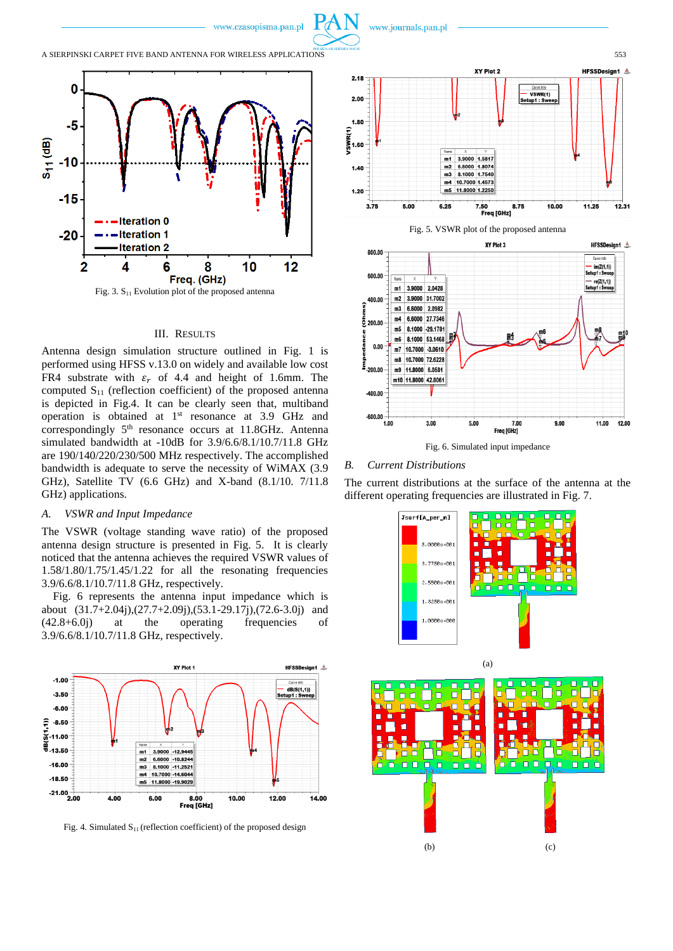



#### III. RESULTS

Antenna design simulation structure outlined in Fig. 1 is performed using HFSS v.13.0 on widely and available low cost FR4 substrate with  $\varepsilon_r$  of 4.4 and height of 1.6mm. The computed  $S_{11}$  (reflection coefficient) of the proposed antenna is depicted in Fig.4. It can be clearly seen that, multiband operation is obtained at  $1<sup>st</sup>$  resonance at 3.9 GHz and correspondingly 5<sup>th</sup> resonance occurs at 11.8GHz. Antenna simulated bandwidth at -10dB for 3.9/6.6/8.1/10.7/11.8 GHz are 190/140/220/230/500 MHz respectively. The accomplished bandwidth is adequate to serve the necessity of WiMAX (3.9 GHz), Satellite TV (6.6 GHz) and X-band (8.1/10. 7/11.8 GHz) applications.

## *A. VSWR and Input Impedance*

The VSWR (voltage standing wave ratio) of the proposed antenna design structure is presented in Fig. 5. It is clearly noticed that the antenna achieves the required VSWR values of 1.58/1.80/1.75/1.45/1.22 for all the resonating frequencies 3.9/6.6/8.1/10.7/11.8 GHz, respectively.

Fig. 6 represents the antenna input impedance which is about (31.7+2.04j),(27.7+2.09j),(53.1-29.17j),(72.6-3.0j) and (42.8+6.0j) at the operating frequencies of 3.9/6.6/8.1/10.7/11.8 GHz, respectively.



Fig. 4. Simulated  $S<sub>11</sub>$  (reflection coefficient) of the proposed design





Fig. 6. Simulated input impedance

#### *B. Current Distributions*

The current distributions at the surface of the antenna at the different operating frequencies are illustrated in Fig. 7.

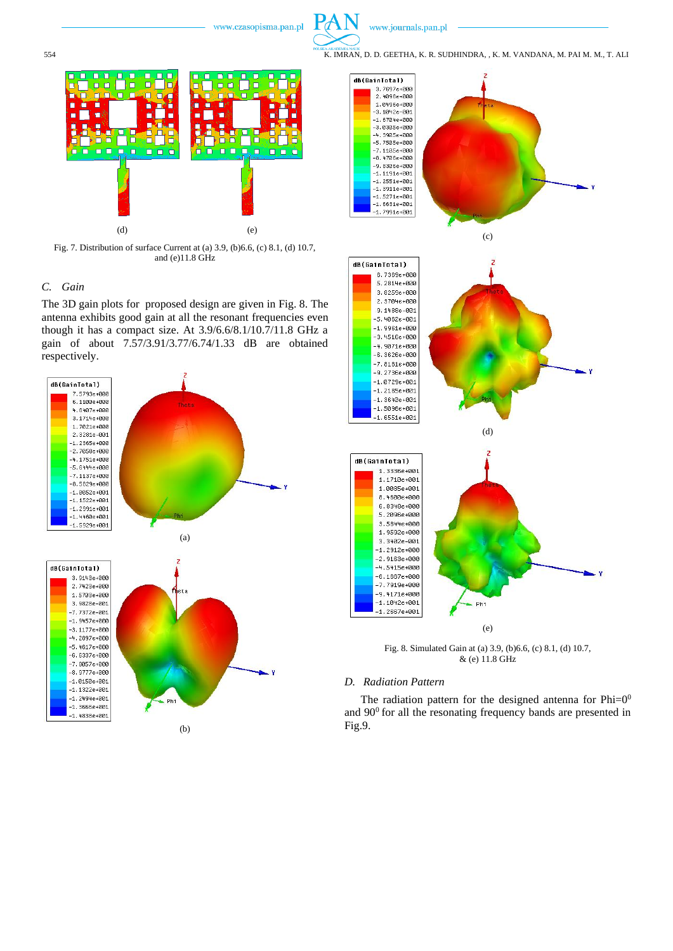

554 K. IMRAN, D. D. GEETHA, K. R. SUDHINDRA, , K. M. VANDANA, M. PAI M. M., T. ALI



Fig. 7. Distribution of surface Current at (a) 3.9, (b)6.6, (c) 8.1, (d) 10.7, and (e)11.8 GHz

### *C. Gain*

The 3D gain plots for proposed design are given in Fig. 8. The antenna exhibits good gain at all the resonant frequencies even though it has a compact size. At 3.9/6.6/8.1/10.7/11.8 GHz a gain of about 7.57/3.91/3.77/6.74/1.33 dB are obtained respectively.





Fig. 8. Simulated Gain at (a) 3.9, (b)6.6, (c) 8.1, (d) 10.7, & (e) 11.8 GHz

#### *D. Radiation Pattern*

The radiation pattern for the designed antenna for  $Phi=0^0$ and  $90^{\circ}$  for all the resonating frequency bands are presented in Fig.9.

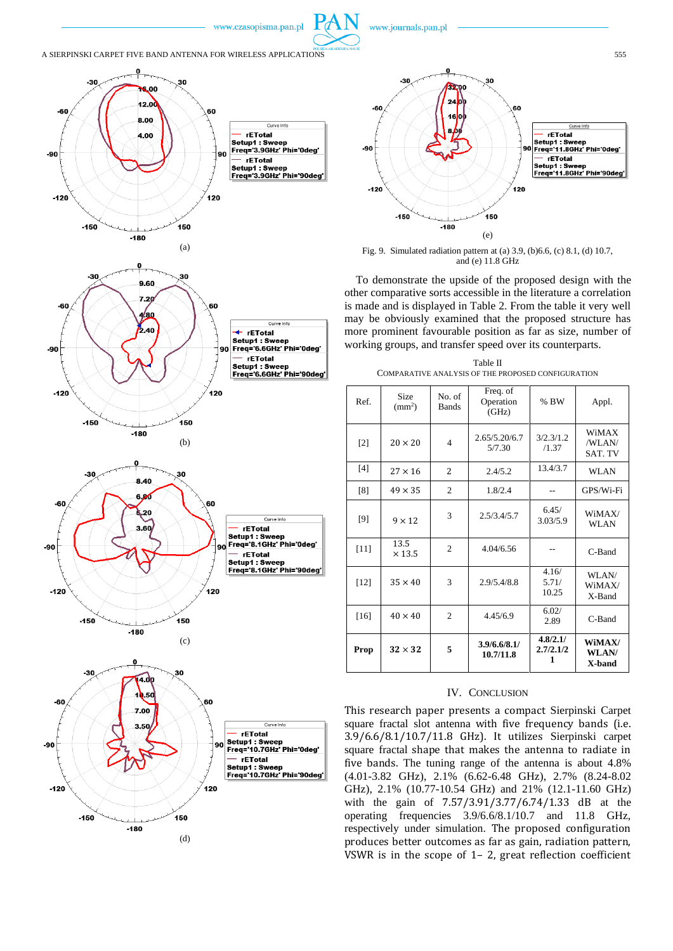



www.journals.pan.pl

Fig. 9. Simulated radiation pattern at (a) 3.9, (b)6.6, (c) 8.1, (d) 10.7, and (e) 11.8 GHz

To demonstrate the upside of the proposed design with the other comparative sorts accessible in the literature a correlation is made and is displayed in Table 2. From the table it very well may be obviously examined that the proposed structure has more prominent favourable position as far as size, number of working groups, and transfer speed over its counterparts.

| Table II                                           |  |  |  |  |  |  |  |
|----------------------------------------------------|--|--|--|--|--|--|--|
| COMPARATIVE ANALYSIS OF THE PROPOSED CONFIGURATION |  |  |  |  |  |  |  |

| Ref.   | Size<br>$\rm (mm^2)$  | No. of<br><b>Bands</b> | Freq. of<br>Operation<br>(GHz) | % BW                       | Appl.                      |
|--------|-----------------------|------------------------|--------------------------------|----------------------------|----------------------------|
| $[2]$  | $20 \times 20$        | $\overline{4}$         | 2.65/5.20/6.7<br>5/7.30        | 3/2.3/1.2<br>/1.37         | WiMAX<br>/WLAN/<br>SAT. TV |
| [4]    | $27 \times 16$        | $\overline{2}$         | 2.4/5.2                        | 13.4/3.7                   | WLAN                       |
| [8]    | $49 \times 35$        | $\overline{c}$         | 1.8/2.4                        |                            | GPS/Wi-Fi                  |
| [9]    | $9 \times 12$         | 3                      | 2.5/3.4/5.7                    | 6.45/<br>3.03/5.9          | WiMAX/<br>WLAN             |
| $[11]$ | 13.5<br>$\times$ 13.5 | $\overline{c}$         | 4.04/6.56                      |                            | C-Band                     |
| $[12]$ | $35 \times 40$        | 3                      | 2.9/5.4/8.8                    | 4.16/<br>5.71/<br>10.25    | WLAN/<br>WiMAX/<br>X-Band  |
| $[16]$ | $40 \times 40$        | $\overline{c}$         | 4.45/6.9                       | 6.02/<br>2.89              | C-Band                     |
| Prop   | $32 \times 32$        | 5                      | 3.9/6.6/8.1/<br>10.7/11.8      | 4.8/2.1/<br>2.7/2.1/2<br>1 | WiMAX/<br>WLAN/<br>X-band  |

#### IV. CONCLUSION

This research paper presents a compact Sierpinski Carpet square fractal slot antenna with five frequency bands (i.e. 3.9/6.6/8.1/10.7/11.8 GHz). It utilizes Sierpinski carpet square fractal shape that makes the antenna to radiate in five bands. The tuning range of the antenna is about 4.8% (4.01-3.82 GHz), 2.1% (6.62-6.48 GHz), 2.7% (8.24-8.02 GHz), 2.1% (10.77-10.54 GHz) and 21% (12.1-11.60 GHz) with the gain of 7.57/3.91/3.77/6.74/1.33 dB at the operating frequencies 3.9/6.6/8.1/10.7 and 11.8 GHz, respectively under simulation. The proposed configuration produces better outcomes as far as gain, radiation pattern, VSWR is in the scope of 1– 2, great reflection coefficient